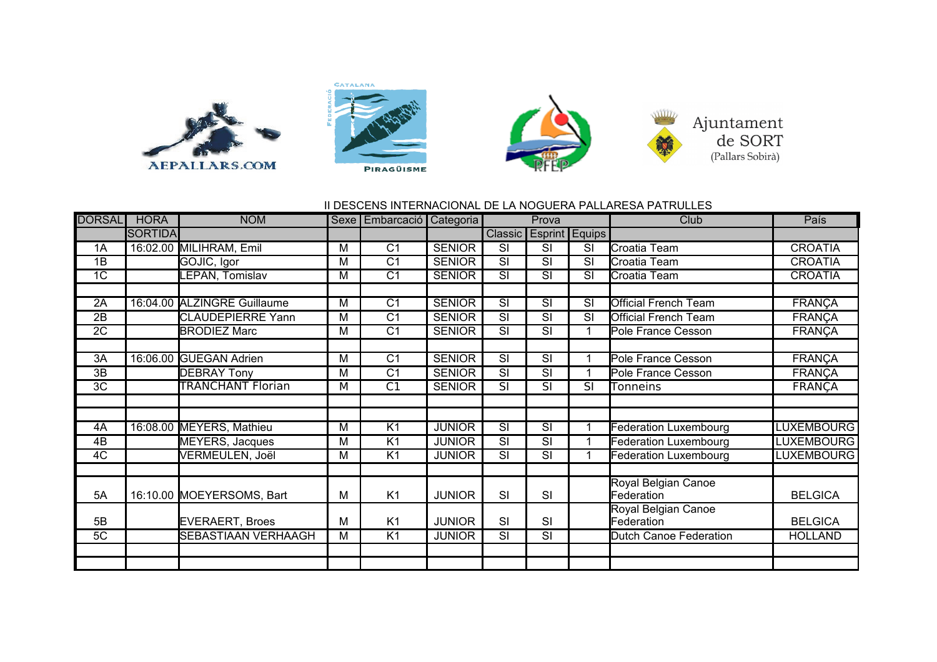







## II DESCENS INTERNACIONAL DE LA NOGUERA PALLARESA PATRULLES

| <b>DORSAL</b>   | <b>HORA</b>    | <b>NOM</b>                  |   | Sexe   Embarcació   Categoria |               | Prova                    |                          |                          | Club                        | País              |
|-----------------|----------------|-----------------------------|---|-------------------------------|---------------|--------------------------|--------------------------|--------------------------|-----------------------------|-------------------|
|                 | <b>SORTIDA</b> |                             |   |                               |               |                          | Classic Esprint Equips   |                          |                             |                   |
| 1A              |                | 16:02.00 MILIHRAM, Emil     | М | C <sub>1</sub>                | <b>SENIOR</b> | <b>SI</b>                | SI                       | SI                       | Croatia Team                | <b>CROATIA</b>    |
| 1B              |                | GOJIC, Igor                 | М | C <sub>1</sub>                | <b>SENIOR</b> | $\overline{\text{SI}}$   | $\overline{\text{SI}}$   | SI                       | Croatia Team                | <b>CROATIA</b>    |
| 1 <sup>C</sup>  |                | LEPAN, Tomislav             | М | C <sub>1</sub>                | <b>SENIOR</b> | SI                       | SI                       | SI                       | Croatia Team                | <b>CROATIA</b>    |
|                 |                |                             |   |                               |               |                          |                          |                          |                             |                   |
| 2A              |                | 16:04.00 ALZINGRE Guillaume | M | $\overline{C1}$               | <b>SENIOR</b> | $\overline{\text{SI}}$   | $\overline{\text{SI}}$   | SI                       | Official French Team        | <b>FRANÇA</b>     |
| $\overline{2B}$ |                | <b>CLAUDEPIERRE Yann</b>    | M | $\overline{C1}$               | <b>SENIOR</b> | $\overline{\text{SI}}$   | $\overline{\text{SI}}$   | $\overline{\mathsf{SI}}$ | <b>Official French Team</b> | <b>FRANÇA</b>     |
| $\overline{2C}$ |                | <b>BRODIEZ Marc</b>         | М | $\overline{C1}$               | <b>SENIOR</b> | $\overline{\text{SI}}$   | $\overline{\text{SI}}$   |                          | Pole France Cesson          | <b>FRANÇA</b>     |
|                 |                |                             |   |                               |               |                          |                          |                          |                             |                   |
| 3A              |                | 16:06.00 GUEGAN Adrien      | М | $\overline{C1}$               | <b>SENIOR</b> | $\overline{\text{SI}}$   | $\overline{\text{SI}}$   |                          | Pole France Cesson          | <b>FRANÇA</b>     |
| 3B              |                | <b>DEBRAY Tony</b>          | М | C <sub>1</sub>                | <b>SENIOR</b> | SI                       | SI                       |                          | Pole France Cesson          | <b>FRANÇA</b>     |
| $\overline{3C}$ |                | <b>TRANCHANT Florian</b>    | M | $\overline{C1}$               | <b>SENIOR</b> | $\overline{\mathsf{SI}}$ | $\overline{\text{SI}}$   | SI                       | Tonneins                    | <b>FRANÇA</b>     |
|                 |                |                             |   |                               |               |                          |                          |                          |                             |                   |
|                 |                |                             |   |                               |               |                          |                          |                          |                             |                   |
| 4A              |                | 16:08.00 MEYERS, Mathieu    | M | $\overline{K}$                | <b>JUNIOR</b> | $\overline{\text{SI}}$   | $\overline{\text{SI}}$   |                          | Federation Luxembourg       | <b>LUXEMBOURG</b> |
| 4B              |                | MEYERS, Jacques             | M | K <sub>1</sub>                | <b>JUNIOR</b> | $\overline{\mathsf{SI}}$ | $\overline{\mathsf{SI}}$ |                          | Federation Luxembourg       | <b>LUXEMBOURG</b> |
| $\overline{4C}$ |                | VERMEULEN, Joël             | М | $\overline{K}$ 1              | <b>JUNIOR</b> | $\overline{\text{SI}}$   | $\overline{\text{SI}}$   |                          | Federation Luxembourg       | <b>LUXEMBOURG</b> |
|                 |                |                             |   |                               |               |                          |                          |                          |                             |                   |
|                 |                |                             |   |                               |               |                          |                          |                          | Royal Belgian Canoe         |                   |
| 5A              |                | 16:10.00 MOEYERSOMS, Bart   | М | K <sub>1</sub>                | <b>JUNIOR</b> | <b>SI</b>                | SI                       |                          | Federation                  | <b>BELGICA</b>    |
|                 |                |                             |   |                               |               |                          |                          |                          | Royal Belgian Canoe         |                   |
| 5B              |                | <b>EVERAERT, Broes</b>      | М | K <sub>1</sub>                | <b>JUNIOR</b> | SI                       | SI                       |                          | Federation                  | <b>BELGICA</b>    |
| 5C              |                | <b>SEBASTIAAN VERHAAGH</b>  | M | $\overline{K1}$               | <b>JUNIOR</b> | $\overline{\mathsf{SI}}$ | $\overline{\mathsf{SI}}$ |                          | Dutch Canoe Federation      | <b>HOLLAND</b>    |
|                 |                |                             |   |                               |               |                          |                          |                          |                             |                   |
|                 |                |                             |   |                               |               |                          |                          |                          |                             |                   |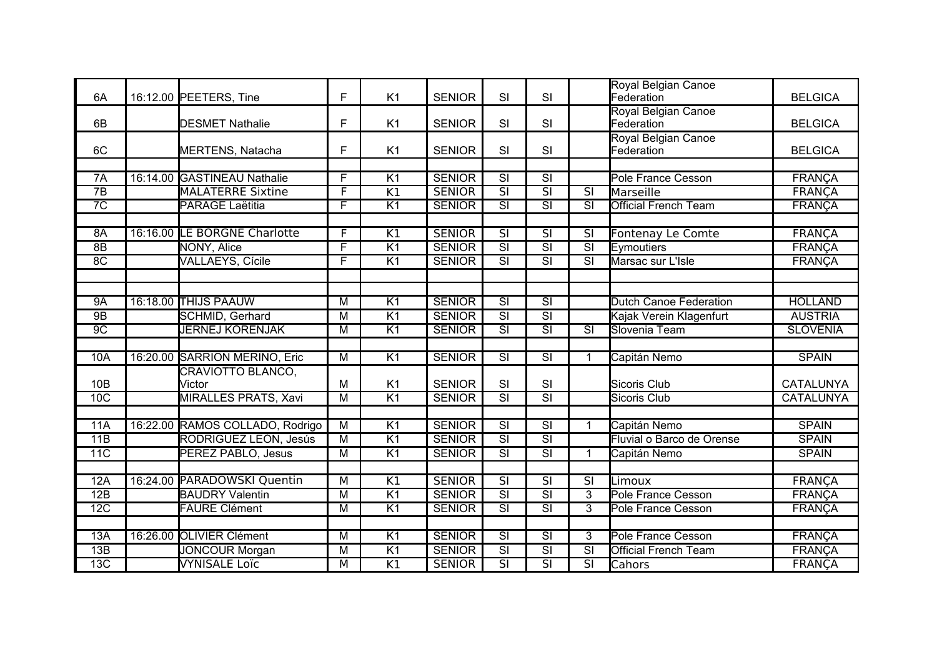| 6A              | 16:12.00 PEETERS, Tine          | F                       | K <sub>1</sub>  | <b>SENIOR</b> | SI                       | SI                       |                          | Royal Belgian Canoe<br>Federation | <b>BELGICA</b>   |
|-----------------|---------------------------------|-------------------------|-----------------|---------------|--------------------------|--------------------------|--------------------------|-----------------------------------|------------------|
| 6B              | <b>DESMET Nathalie</b>          | F                       | K <sub>1</sub>  | <b>SENIOR</b> | SI                       | SI                       |                          | Royal Belgian Canoe<br>Federation | <b>BELGICA</b>   |
| 6C              | MERTENS, Natacha                | F                       | K <sub>1</sub>  | <b>SENIOR</b> | SI                       | SI                       |                          | Royal Belgian Canoe<br>Federation | <b>BELGICA</b>   |
|                 |                                 |                         |                 |               |                          |                          |                          |                                   |                  |
| 7A              | 16:14.00 GASTINEAU Nathalie     | $\overline{F}$          | $\overline{K1}$ | <b>SENIOR</b> | $\overline{\text{SI}}$   | $\overline{\mathsf{SI}}$ |                          | Pole France Cesson                | <b>FRANCA</b>    |
| $\overline{7B}$ | <b>MALATERRE Sixtine</b>        | F                       | K1              | <b>SENIOR</b> | $\overline{\text{SI}}$   | $\overline{\mathsf{SI}}$ | $\overline{\text{SI}}$   | Marseille                         | <b>FRANÇA</b>    |
| $\overline{7C}$ | <b>PARAGE Laëtitia</b>          | $\overline{\mathsf{F}}$ | K <sub>1</sub>  | <b>SENIOR</b> | $\overline{\text{SI}}$   | $\overline{\mathsf{SI}}$ | $\overline{\mathsf{SI}}$ | <b>Official French Team</b>       | <b>FRANÇA</b>    |
|                 |                                 |                         |                 |               |                          |                          |                          |                                   |                  |
| 8A              | 16:16.00 LE BORGNE Charlotte    | F                       | $\overline{K1}$ | <b>SENIOR</b> | $\overline{\text{SI}}$   | $\overline{\mathsf{SI}}$ | $\overline{\mathsf{SI}}$ | Fontenay Le Comte                 | <b>FRANÇA</b>    |
| 8B              | NONY, Alice                     | F                       | $\overline{K1}$ | <b>SENIOR</b> | $\overline{\mathsf{SI}}$ | $\overline{\mathsf{SI}}$ | $\overline{\mathsf{SI}}$ | Eymoutiers                        | <b>FRANÇA</b>    |
| 8 <sup>C</sup>  | <b>VALLAEYS, Cícile</b>         | $\overline{\mathsf{F}}$ | K1              | <b>SENIOR</b> | $\overline{\mathsf{SI}}$ | $\overline{\text{SI}}$   | $\overline{\text{SI}}$   | Marsac sur L'Isle                 | <b>FRANÇA</b>    |
|                 |                                 |                         |                 |               |                          |                          |                          |                                   |                  |
|                 |                                 |                         |                 |               |                          |                          |                          |                                   |                  |
| 9A              | 16:18.00 THIJS PAAUW            | $\overline{M}$          | K <sub>1</sub>  | <b>SENIOR</b> | $\overline{\mathsf{SI}}$ | $\overline{\mathsf{SI}}$ |                          | Dutch Canoe Federation            | <b>HOLLAND</b>   |
| 9B              | <b>SCHMID, Gerhard</b>          | $\overline{M}$          | $\overline{K1}$ | <b>SENIOR</b> | $\overline{\text{SI}}$   | $\overline{\mathsf{SI}}$ |                          | Kajak Verein Klagenfurt           | <b>AUSTRIA</b>   |
| 9C              | <b>JERNEJ KORENJAK</b>          | $\overline{M}$          | $\overline{K1}$ | <b>SENIOR</b> | $\overline{\text{SI}}$   | $\overline{\text{SI}}$   | $\overline{\text{SI}}$   | Slovenia Team                     | <b>SLOVENIA</b>  |
|                 |                                 |                         |                 |               |                          |                          |                          |                                   |                  |
| 10A             | 16:20.00 SARRION MERINO, Eric   | M                       | $\overline{K1}$ | <b>SENIOR</b> | $\overline{\text{SI}}$   | $\overline{\text{SI}}$   | 1                        | Capitán Nemo                      | <b>SPAIN</b>     |
| 10 <sub>B</sub> | CRAVIOTTO BLANCO,<br>Victor     | M                       | K <sub>1</sub>  | <b>SENIOR</b> | SI                       | SI                       |                          | Sicoris Club                      | <b>CATALUNYA</b> |
| 10C             | <b>MIRALLES PRATS, Xavi</b>     | $\overline{M}$          | $\overline{K1}$ | <b>SENIOR</b> | $\overline{\text{SI}}$   | $\overline{\mathsf{SI}}$ |                          | <b>Sicoris Club</b>               | <b>CATALUNYA</b> |
|                 |                                 |                         |                 |               |                          |                          |                          |                                   |                  |
| 11A             | 16:22.00 RAMOS COLLADO, Rodrigo | $\overline{M}$          | K <sub>1</sub>  | <b>SENIOR</b> | $\overline{\text{SI}}$   | $\overline{\mathsf{SI}}$ | 1                        | Capitán Nemo                      | <b>SPAIN</b>     |
| 11B             | RODRIGUEZ LEÓN, Jesús           | $\overline{M}$          | $\overline{K1}$ | <b>SENIOR</b> | $\overline{\mathsf{SI}}$ | $\overline{\mathsf{SI}}$ |                          | Fluvial o Barco de Orense         | <b>SPAIN</b>     |
| 11C             | <b>PEREZ PABLO, Jesus</b>       | $\overline{M}$          | $\overline{K1}$ | <b>SENIOR</b> | $\overline{\text{SI}}$   | $\overline{\mathsf{SI}}$ | $\mathbf{1}$             | Capitán Nemo                      | <b>SPAIN</b>     |
|                 |                                 |                         |                 |               |                          |                          |                          |                                   |                  |
| 12A             | 16:24.00 PARADOWSKI Quentin     | M                       | $\overline{K1}$ | <b>SENIOR</b> | $\overline{\mathsf{SI}}$ | $\overline{\mathsf{SI}}$ | $\overline{\mathsf{SI}}$ | Limoux                            | <b>FRANÇA</b>    |
| 12B             | <b>BAUDRY Valentin</b>          | $\overline{\mathsf{M}}$ | K <sub>1</sub>  | <b>SENIOR</b> | $\overline{\text{SI}}$   | $\overline{\text{SI}}$   | 3                        | Pole France Cesson                | <b>FRANÇA</b>    |
| 12C             | <b>FAURE Clément</b>            | $\overline{M}$          | $\overline{K1}$ | <b>SENIOR</b> | $\overline{\text{SI}}$   | $\overline{\mathsf{SI}}$ | 3                        | Pole France Cesson                | <b>FRANÇA</b>    |
|                 |                                 |                         |                 |               |                          |                          |                          |                                   |                  |
| 13A             | 16:26.00 OLIVIER Clément        | M                       | K1              | <b>SENIOR</b> | $\overline{\mathsf{SI}}$ | $\overline{\mathsf{SI}}$ | 3                        | Pole France Cesson                | <b>FRANÇA</b>    |
| 13B             | <b>JONCOUR Morgan</b>           | M                       | K1              | <b>SENIOR</b> | $\overline{\text{SI}}$   | $\overline{\text{SI}}$   | $\overline{\text{SI}}$   | <b>Official French Team</b>       | <b>FRANÇA</b>    |
| 13C             | <b>VYNISALE Loïc</b>            | $\overline{M}$          | K1              | <b>SENIOR</b> | $\overline{\mathsf{SI}}$ | $\overline{\mathsf{SI}}$ | $\overline{\mathsf{SI}}$ | Cahors                            | <b>FRANÇA</b>    |